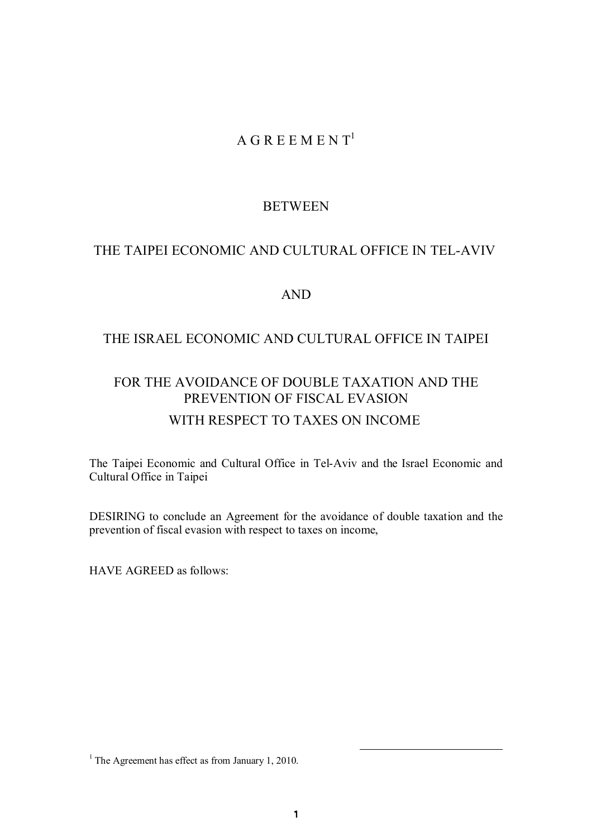# A G R E E M E N  $T<sup>1</sup>$

## **BETWEEN**

## THE TAIPEI ECONOMIC AND CULTURAL OFFICE IN TEL-AVIV

### AND

### THE ISRAEL ECONOMIC AND CULTURAL OFFICE IN TAIPEI

## FOR THE AVOIDANCE OF DOUBLE TAXATION AND THE PREVENTION OF FISCAL EVASION

# WITH RESPECT TO TAXES ON INCOME

The Taipei Economic and Cultural Office in Tel-Aviv and the Israel Economic and Cultural Office in Taipei

DESIRING to conclude an Agreement for the avoidance of double taxation and the prevention of fiscal evasion with respect to taxes on income,

HAVE AGREED as follows:

 $\overline{a}$ 

<sup>&</sup>lt;sup>1</sup> The Agreement has effect as from January 1, 2010.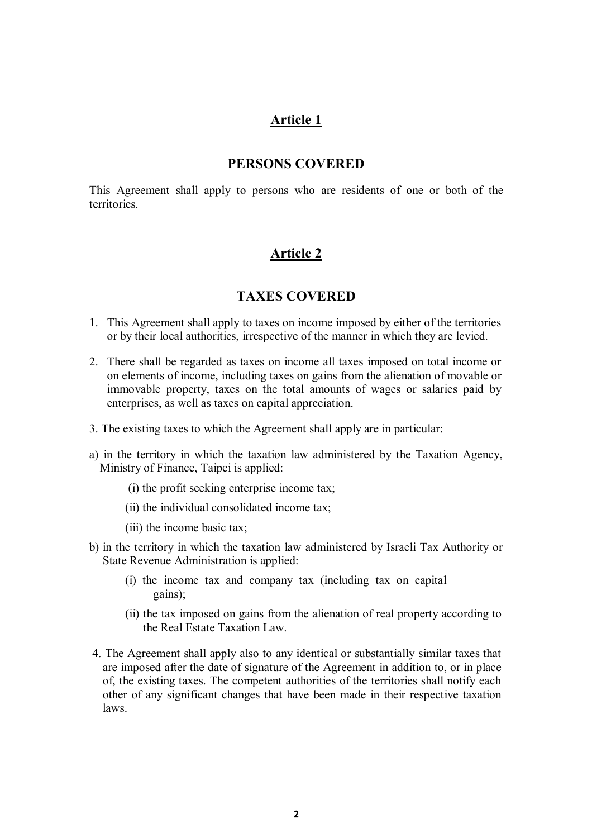#### **PERSONS COVERED**

This Agreement shall apply to persons who are residents of one or both of the territories.

### **Article 2**

### **TAXES COVERED**

- 1. This Agreement shall apply to taxes on income imposed by either of the territories or by their local authorities, irrespective of the manner in which they are levied.
- 2. There shall be regarded as taxes on income all taxes imposed on total income or on elements of income, including taxes on gains from the alienation of movable or immovable property, taxes on the total amounts of wages or salaries paid by enterprises, as well as taxes on capital appreciation.
- 3. The existing taxes to which the Agreement shall apply are in particular:
- a) in the territory in which the taxation law administered by the Taxation Agency, Ministry of Finance, Taipei is applied:
	- (i) the profit seeking enterprise income tax;
	- (ii) the individual consolidated income tax;
	- (iii) the income basic tax;
- b) in the territory in which the taxation law administered by Israeli Tax Authority or State Revenue Administration is applied:
	- (i) the income tax and company tax (including tax on capital gains);
	- (ii) the tax imposed on gains from the alienation of real property according to the Real Estate Taxation Law.
- 4. The Agreement shall apply also to any identical or substantially similar taxes that are imposed after the date of signature of the Agreement in addition to, or in place of, the existing taxes. The competent authorities of the territories shall notify each other of any significant changes that have been made in their respective taxation laws.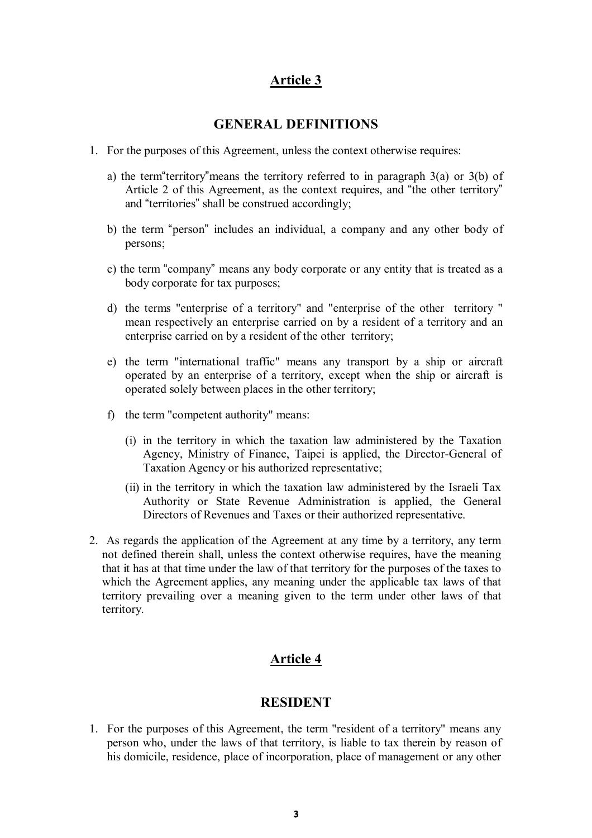### **GENERAL DEFINITIONS**

- 1. For the purposes of this Agreement, unless the context otherwise requires:
	- a) the term"territory"means the territory referred to in paragraph 3(a) or 3(b) of Article 2 of this Agreement, as the context requires, and "the other territory" and "territories" shall be construed accordingly;
	- b) the term "person" includes an individual, a company and any other body of persons;
	- c) the term "company" means any body corporate or any entity that is treated as a body corporate for tax purposes;
	- d) the terms "enterprise of a territory" and "enterprise of the other territory " mean respectively an enterprise carried on by a resident of a territory and an enterprise carried on by a resident of the other territory;
	- e) the term "international traffic" means any transport by a ship or aircraft operated by an enterprise of a territory, except when the ship or aircraft is operated solely between places in the other territory;
	- f) the term "competent authority" means:
		- (i) in the territory in which the taxation law administered by the Taxation Agency, Ministry of Finance, Taipei is applied, the Director-General of Taxation Agency or his authorized representative;
		- (ii) in the territory in which the taxation law administered by the Israeli Tax Authority or State Revenue Administration is applied, the General Directors of Revenues and Taxes or their authorized representative.
- 2. As regards the application of the Agreement at any time by a territory, any term not defined therein shall, unless the context otherwise requires, have the meaning that it has at that time under the law of that territory for the purposes of the taxes to which the Agreement applies, any meaning under the applicable tax laws of that territory prevailing over a meaning given to the term under other laws of that territory.

### **Article 4**

#### **RESIDENT**

1. For the purposes of this Agreement, the term "resident of a territory" means any person who, under the laws of that territory, is liable to tax therein by reason of his domicile, residence, place of incorporation, place of management or any other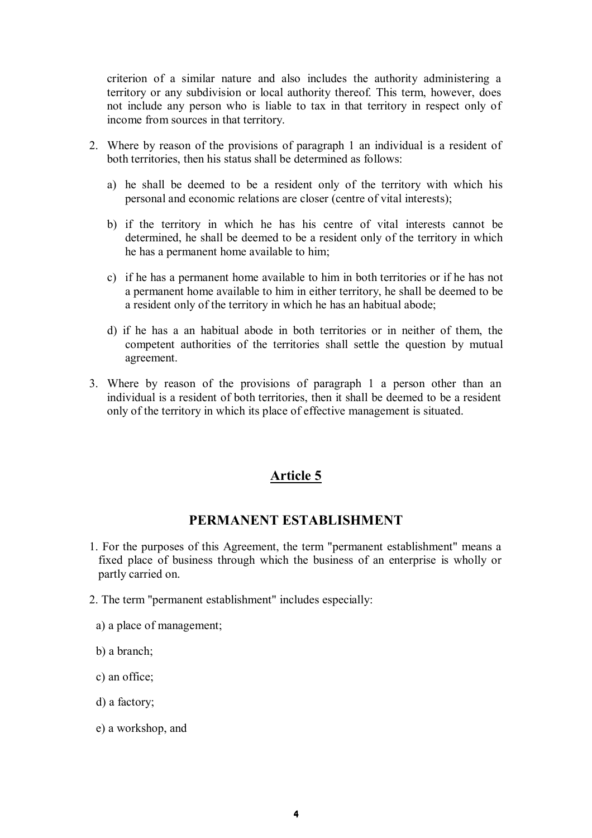criterion of a similar nature and also includes the authority administering a territory or any subdivision or local authority thereof. This term, however, does not include any person who is liable to tax in that territory in respect only of income from sources in that territory.

- 2. Where by reason of the provisions of paragraph 1 an individual is a resident of both territories, then his status shall be determined as follows:
	- a) he shall be deemed to be a resident only of the territory with which his personal and economic relations are closer (centre of vital interests);
	- b) if the territory in which he has his centre of vital interests cannot be determined, he shall be deemed to be a resident only of the territory in which he has a permanent home available to him;
	- c) if he has a permanent home available to him in both territories or if he has not a permanent home available to him in either territory, he shall be deemed to be a resident only of the territory in which he has an habitual abode;
	- d) if he has a an habitual abode in both territories or in neither of them, the competent authorities of the territories shall settle the question by mutual agreement.
- 3. Where by reason of the provisions of paragraph 1 a person other than an individual is a resident of both territories, then it shall be deemed to be a resident only of the territory in which its place of effective management is situated.

### **Article 5**

### **PERMANENT ESTABLISHMENT**

- 1. For the purposes of this Agreement, the term "permanent establishment" means a fixed place of business through which the business of an enterprise is wholly or partly carried on.
- 2. The term "permanent establishment" includes especially:
- a) a place of management;
- b) a branch;
- c) an office;
- d) a factory;
- e) a workshop, and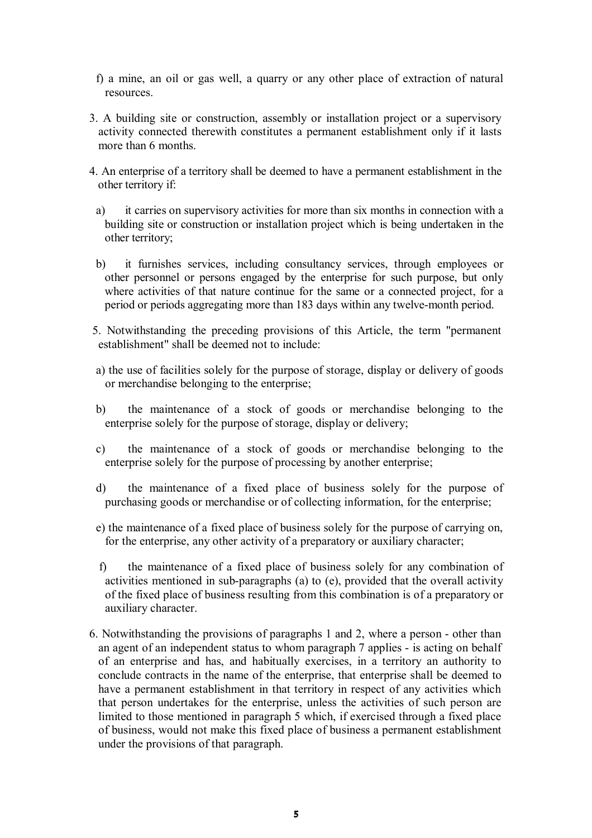f) a mine, an oil or gas well, a quarry or any other place of extraction of natural resources.

- 3. A building site or construction, assembly or installation project or a supervisory activity connected therewith constitutes a permanent establishment only if it lasts more than 6 months.
- 4. An enterprise of a territory shall be deemed to have a permanent establishment in the other territory if:
	- a) it carries on supervisory activities for more than six months in connection with a building site or construction or installation project which is being undertaken in the other territory;
	- b) it furnishes services, including consultancy services, through employees or other personnel or persons engaged by the enterprise for such purpose, but only where activities of that nature continue for the same or a connected project, for a period or periods aggregating more than 183 days within any twelve-month period.
- 5. Notwithstanding the preceding provisions of this Article, the term "permanent establishment" shall be deemed not to include:
- a) the use of facilities solely for the purpose of storage, display or delivery of goods or merchandise belonging to the enterprise;
- b) the maintenance of a stock of goods or merchandise belonging to the enterprise solely for the purpose of storage, display or delivery;
- c) the maintenance of a stock of goods or merchandise belonging to the enterprise solely for the purpose of processing by another enterprise;
- d) the maintenance of a fixed place of business solely for the purpose of purchasing goods or merchandise or of collecting information, for the enterprise;
- e) the maintenance of a fixed place of business solely for the purpose of carrying on, for the enterprise, any other activity of a preparatory or auxiliary character;
- f) the maintenance of a fixed place of business solely for any combination of activities mentioned in sub-paragraphs (a) to (e), provided that the overall activity of the fixed place of business resulting from this combination is of a preparatory or auxiliary character.
- 6. Notwithstanding the provisions of paragraphs 1 and 2, where a person other than an agent of an independent status to whom paragraph 7 applies - is acting on behalf of an enterprise and has, and habitually exercises, in a territory an authority to conclude contracts in the name of the enterprise, that enterprise shall be deemed to have a permanent establishment in that territory in respect of any activities which that person undertakes for the enterprise, unless the activities of such person are limited to those mentioned in paragraph 5 which, if exercised through a fixed place of business, would not make this fixed place of business a permanent establishment under the provisions of that paragraph.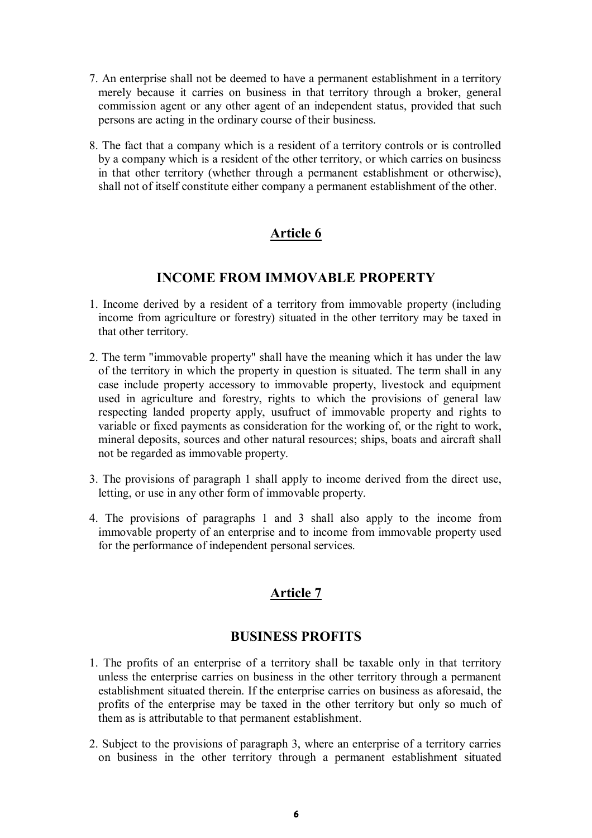- 7. An enterprise shall not be deemed to have a permanent establishment in a territory merely because it carries on business in that territory through a broker, general commission agent or any other agent of an independent status, provided that such persons are acting in the ordinary course of their business.
- 8. The fact that a company which is a resident of a territory controls or is controlled by a company which is a resident of the other territory, or which carries on business in that other territory (whether through a permanent establishment or otherwise), shall not of itself constitute either company a permanent establishment of the other.

#### **INCOME FROM IMMOVABLE PROPERTY**

- 1. Income derived by a resident of a territory from immovable property (including income from agriculture or forestry) situated in the other territory may be taxed in that other territory.
- 2. The term "immovable property" shall have the meaning which it has under the law of the territory in which the property in question is situated. The term shall in any case include property accessory to immovable property, livestock and equipment used in agriculture and forestry, rights to which the provisions of general law respecting landed property apply, usufruct of immovable property and rights to variable or fixed payments as consideration for the working of, or the right to work, mineral deposits, sources and other natural resources; ships, boats and aircraft shall not be regarded as immovable property.
- 3. The provisions of paragraph 1 shall apply to income derived from the direct use, letting, or use in any other form of immovable property.
- 4. The provisions of paragraphs 1 and 3 shall also apply to the income from immovable property of an enterprise and to income from immovable property used for the performance of independent personal services.

### **Article 7**

#### **BUSINESS PROFITS**

- 1. The profits of an enterprise of a territory shall be taxable only in that territory unless the enterprise carries on business in the other territory through a permanent establishment situated therein. If the enterprise carries on business as aforesaid, the profits of the enterprise may be taxed in the other territory but only so much of them as is attributable to that permanent establishment.
- 2. Subject to the provisions of paragraph 3, where an enterprise of a territory carries on business in the other territory through a permanent establishment situated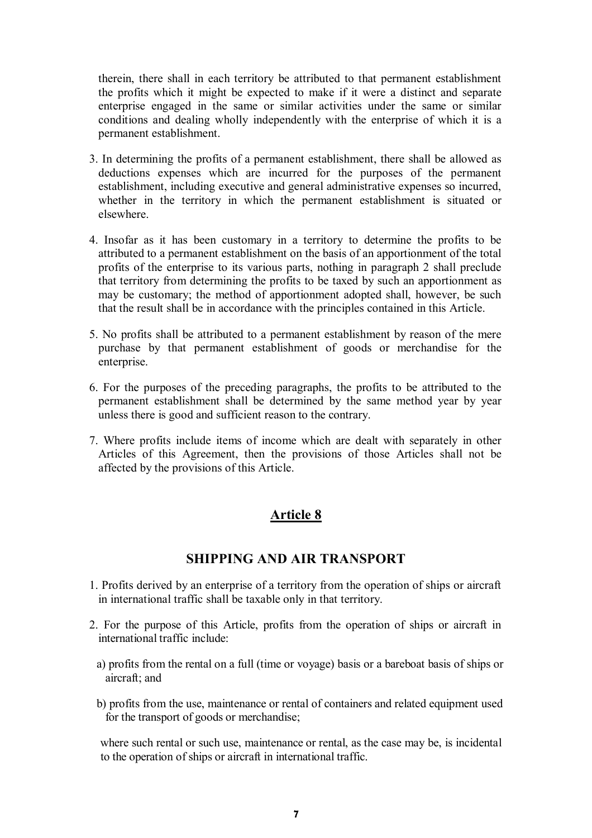therein, there shall in each territory be attributed to that permanent establishment the profits which it might be expected to make if it were a distinct and separate enterprise engaged in the same or similar activities under the same or similar conditions and dealing wholly independently with the enterprise of which it is a permanent establishment.

- 3. In determining the profits of a permanent establishment, there shall be allowed as deductions expenses which are incurred for the purposes of the permanent establishment, including executive and general administrative expenses so incurred, whether in the territory in which the permanent establishment is situated or elsewhere.
- 4. Insofar as it has been customary in a territory to determine the profits to be attributed to a permanent establishment on the basis of an apportionment of the total profits of the enterprise to its various parts, nothing in paragraph 2 shall preclude that territory from determining the profits to be taxed by such an apportionment as may be customary; the method of apportionment adopted shall, however, be such that the result shall be in accordance with the principles contained in this Article.
- 5. No profits shall be attributed to a permanent establishment by reason of the mere purchase by that permanent establishment of goods or merchandise for the enterprise.
- 6. For the purposes of the preceding paragraphs, the profits to be attributed to the permanent establishment shall be determined by the same method year by year unless there is good and sufficient reason to the contrary.
- 7. Where profits include items of income which are dealt with separately in other Articles of this Agreement, then the provisions of those Articles shall not be affected by the provisions of this Article.

### **Article 8**

### **SHIPPING AND AIR TRANSPORT**

- 1. Profits derived by an enterprise of a territory from the operation of ships or aircraft in international traffic shall be taxable only in that territory.
- 2. For the purpose of this Article, profits from the operation of ships or aircraft in international traffic include:
	- a) profits from the rental on a full (time or voyage) basis or a bareboat basis of ships or aircraft; and
	- b) profits from the use, maintenance or rental of containers and related equipment used for the transport of goods or merchandise;

where such rental or such use, maintenance or rental, as the case may be, is incidental to the operation of ships or aircraft in international traffic.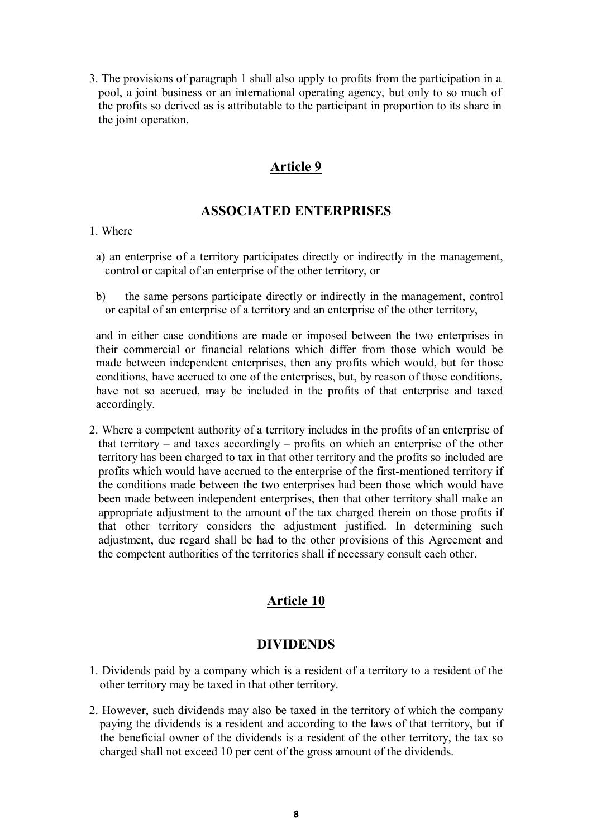3. The provisions of paragraph 1 shall also apply to profits from the participation in a pool, a joint business or an international operating agency, but only to so much of the profits so derived as is attributable to the participant in proportion to its share in the joint operation.

### **Article 9**

#### **ASSOCIATED ENTERPRISES**

1. Where

- a) an enterprise of a territory participates directly or indirectly in the management, control or capital of an enterprise of the other territory, or
- b) the same persons participate directly or indirectly in the management, control or capital of an enterprise of a territory and an enterprise of the other territory,

and in either case conditions are made or imposed between the two enterprises in their commercial or financial relations which differ from those which would be made between independent enterprises, then any profits which would, but for those conditions, have accrued to one of the enterprises, but, by reason of those conditions, have not so accrued, may be included in the profits of that enterprise and taxed accordingly.

2. Where a competent authority of a territory includes in the profits of an enterprise of that territory – and taxes accordingly – profits on which an enterprise of the other territory has been charged to tax in that other territory and the profits so included are profits which would have accrued to the enterprise of the first-mentioned territory if the conditions made between the two enterprises had been those which would have been made between independent enterprises, then that other territory shall make an appropriate adjustment to the amount of the tax charged therein on those profits if that other territory considers the adjustment justified. In determining such adjustment, due regard shall be had to the other provisions of this Agreement and the competent authorities of the territories shall if necessary consult each other.

# **Article 10**

#### **DIVIDENDS**

- 1. Dividends paid by a company which is a resident of a territory to a resident of the other territory may be taxed in that other territory.
- 2. However, such dividends may also be taxed in the territory of which the company paying the dividends is a resident and according to the laws of that territory, but if the beneficial owner of the dividends is a resident of the other territory, the tax so charged shall not exceed 10 per cent of the gross amount of the dividends.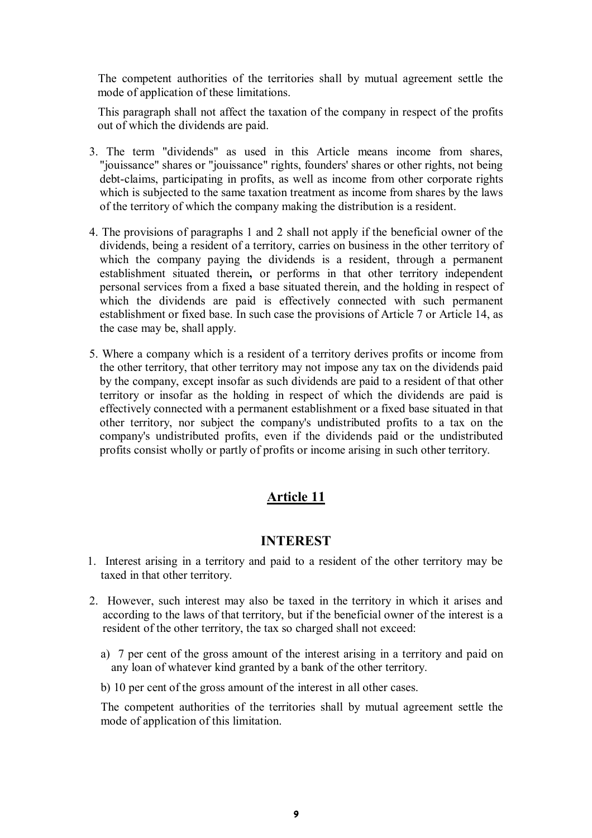The competent authorities of the territories shall by mutual agreement settle the mode of application of these limitations.

This paragraph shall not affect the taxation of the company in respect of the profits out of which the dividends are paid.

- 3. The term "dividends" as used in this Article means income from shares, "jouissance" shares or "jouissance" rights, founders' shares or other rights, not being debt-claims, participating in profits, as well as income from other corporate rights which is subjected to the same taxation treatment as income from shares by the laws of the territory of which the company making the distribution is a resident.
- 4. The provisions of paragraphs 1 and 2 shall not apply if the beneficial owner of the dividends, being a resident of a territory, carries on business in the other territory of which the company paying the dividends is a resident, through a permanent establishment situated therein**,** or performs in that other territory independent personal services from a fixed a base situated therein, and the holding in respect of which the dividends are paid is effectively connected with such permanent establishment or fixed base. In such case the provisions of Article 7 or Article 14, as the case may be, shall apply.
- 5. Where a company which is a resident of a territory derives profits or income from the other territory, that other territory may not impose any tax on the dividends paid by the company, except insofar as such dividends are paid to a resident of that other territory or insofar as the holding in respect of which the dividends are paid is effectively connected with a permanent establishment or a fixed base situated in that other territory, nor subject the company's undistributed profits to a tax on the company's undistributed profits, even if the dividends paid or the undistributed profits consist wholly or partly of profits or income arising in such other territory.

# **Article 11**

#### **INTEREST**

- 1. Interest arising in a territory and paid to a resident of the other territory may be taxed in that other territory.
- 2. However, such interest may also be taxed in the territory in which it arises and according to the laws of that territory, but if the beneficial owner of the interest is a resident of the other territory, the tax so charged shall not exceed:
	- a) 7 per cent of the gross amount of the interest arising in a territory and paid on any loan of whatever kind granted by a bank of the other territory.
	- b) 10 per cent of the gross amount of the interest in all other cases.

The competent authorities of the territories shall by mutual agreement settle the mode of application of this limitation.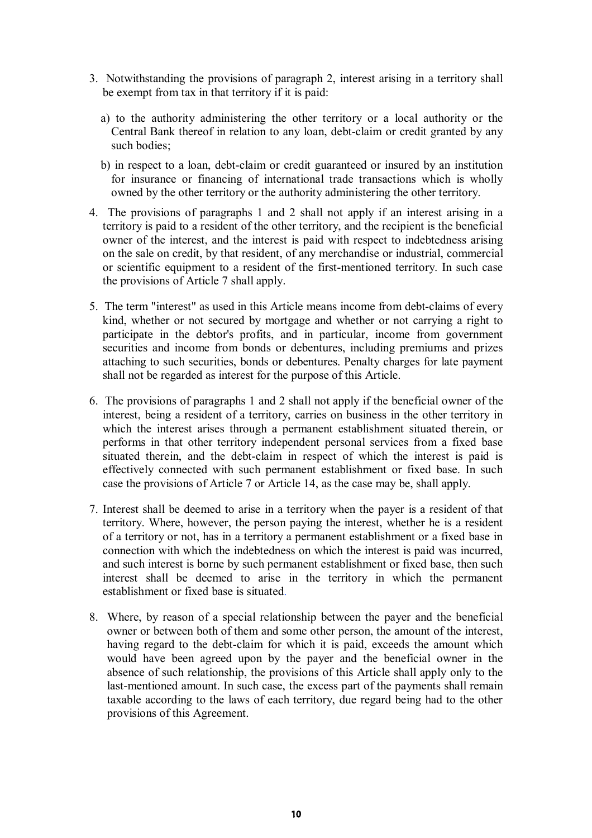- 3. Notwithstanding the provisions of paragraph 2, interest arising in a territory shall be exempt from tax in that territory if it is paid:
	- a) to the authority administering the other territory or a local authority or the Central Bank thereof in relation to any loan, debt-claim or credit granted by any such bodies;
	- b) in respect to a loan, debt-claim or credit guaranteed or insured by an institution for insurance or financing of international trade transactions which is wholly owned by the other territory or the authority administering the other territory.
- 4. The provisions of paragraphs 1 and 2 shall not apply if an interest arising in a territory is paid to a resident of the other territory, and the recipient is the beneficial owner of the interest, and the interest is paid with respect to indebtedness arising on the sale on credit, by that resident, of any merchandise or industrial, commercial or scientific equipment to a resident of the first-mentioned territory. In such case the provisions of Article 7 shall apply.
- 5. The term "interest" as used in this Article means income from debt-claims of every kind, whether or not secured by mortgage and whether or not carrying a right to participate in the debtor's profits, and in particular, income from government securities and income from bonds or debentures, including premiums and prizes attaching to such securities, bonds or debentures. Penalty charges for late payment shall not be regarded as interest for the purpose of this Article.
- 6. The provisions of paragraphs 1 and 2 shall not apply if the beneficial owner of the interest, being a resident of a territory, carries on business in the other territory in which the interest arises through a permanent establishment situated therein, or performs in that other territory independent personal services from a fixed base situated therein, and the debt-claim in respect of which the interest is paid is effectively connected with such permanent establishment or fixed base. In such case the provisions of Article 7 or Article 14, as the case may be, shall apply.
- 7. Interest shall be deemed to arise in a territory when the payer is a resident of that territory. Where, however, the person paying the interest, whether he is a resident of a territory or not, has in a territory a permanent establishment or a fixed base in connection with which the indebtedness on which the interest is paid was incurred, and such interest is borne by such permanent establishment or fixed base, then such interest shall be deemed to arise in the territory in which the permanent establishment or fixed base is situated.
- 8. Where, by reason of a special relationship between the payer and the beneficial owner or between both of them and some other person, the amount of the interest, having regard to the debt-claim for which it is paid, exceeds the amount which would have been agreed upon by the payer and the beneficial owner in the absence of such relationship, the provisions of this Article shall apply only to the last-mentioned amount. In such case, the excess part of the payments shall remain taxable according to the laws of each territory, due regard being had to the other provisions of this Agreement.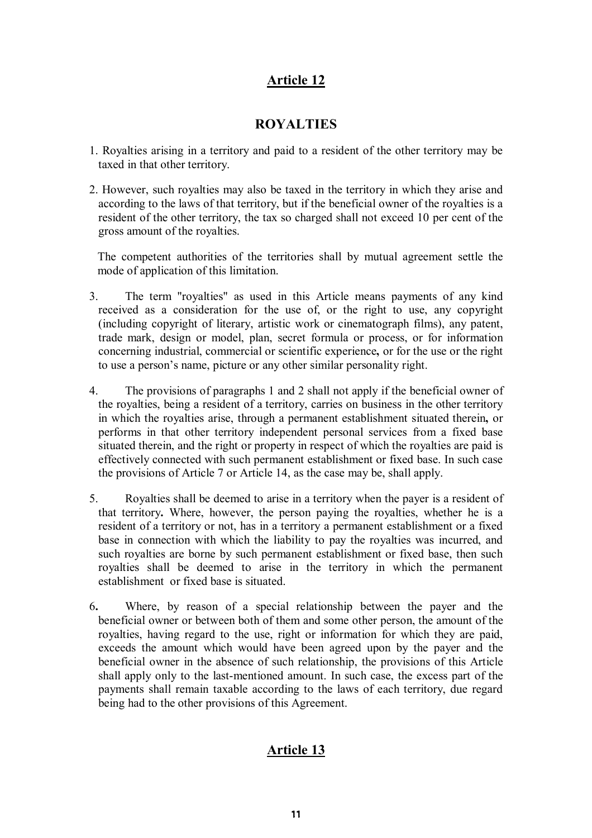# **ROYALTIES**

- 1. Royalties arising in a territory and paid to a resident of the other territory may be taxed in that other territory.
- 2. However, such royalties may also be taxed in the territory in which they arise and according to the laws of that territory, but if the beneficial owner of the royalties is a resident of the other territory, the tax so charged shall not exceed 10 per cent of the gross amount of the royalties.

The competent authorities of the territories shall by mutual agreement settle the mode of application of this limitation.

- 3. The term "royalties" as used in this Article means payments of any kind received as a consideration for the use of, or the right to use, any copyright (including copyright of literary, artistic work or cinematograph films), any patent, trade mark, design or model, plan, secret formula or process, or for information concerning industrial, commercial or scientific experience**,** or for the use or the right to use a person's name, picture or any other similar personality right.
- 4. The provisions of paragraphs 1 and 2 shall not apply if the beneficial owner of the royalties, being a resident of a territory, carries on business in the other territory in which the royalties arise, through a permanent establishment situated therein**,** or performs in that other territory independent personal services from a fixed base situated therein, and the right or property in respect of which the royalties are paid is effectively connected with such permanent establishment or fixed base. In such case the provisions of Article 7 or Article 14, as the case may be, shall apply.
- 5. Royalties shall be deemed to arise in a territory when the payer is a resident of that territory**.** Where, however, the person paying the royalties, whether he is a resident of a territory or not, has in a territory a permanent establishment or a fixed base in connection with which the liability to pay the royalties was incurred, and such royalties are borne by such permanent establishment or fixed base, then such royalties shall be deemed to arise in the territory in which the permanent establishment or fixed base is situated.
- 6**.** Where, by reason of a special relationship between the payer and the beneficial owner or between both of them and some other person, the amount of the royalties, having regard to the use, right or information for which they are paid, exceeds the amount which would have been agreed upon by the payer and the beneficial owner in the absence of such relationship, the provisions of this Article shall apply only to the last-mentioned amount. In such case, the excess part of the payments shall remain taxable according to the laws of each territory, due regard being had to the other provisions of this Agreement.

# **Article 13**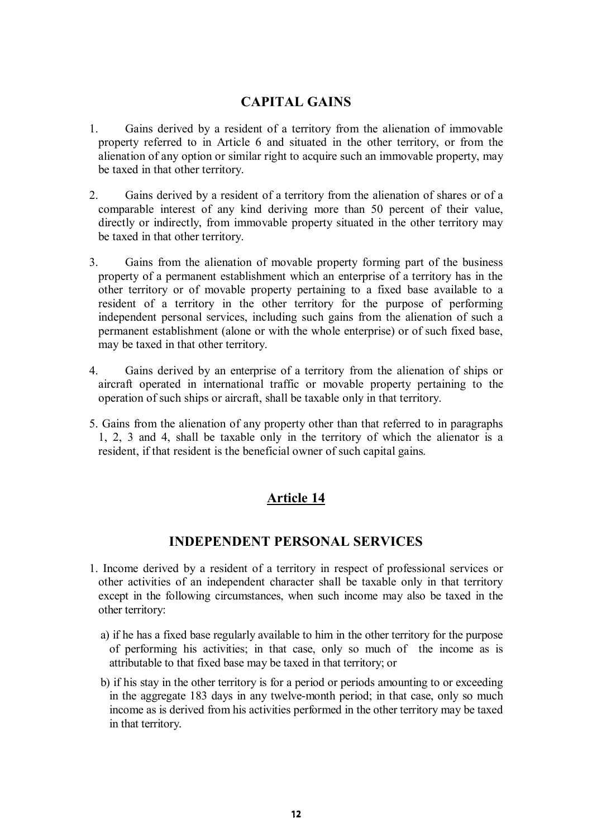# **CAPITAL GAINS**

- 1. Gains derived by a resident of a territory from the alienation of immovable property referred to in Article 6 and situated in the other territory, or from the alienation of any option or similar right to acquire such an immovable property, may be taxed in that other territory.
- 2. Gains derived by a resident of a territory from the alienation of shares or of a comparable interest of any kind deriving more than 50 percent of their value, directly or indirectly, from immovable property situated in the other territory may be taxed in that other territory.
- 3. Gains from the alienation of movable property forming part of the business property of a permanent establishment which an enterprise of a territory has in the other territory or of movable property pertaining to a fixed base available to a resident of a territory in the other territory for the purpose of performing independent personal services, including such gains from the alienation of such a permanent establishment (alone or with the whole enterprise) or of such fixed base, may be taxed in that other territory.
- 4. Gains derived by an enterprise of a territory from the alienation of ships or aircraft operated in international traffic or movable property pertaining to the operation of such ships or aircraft, shall be taxable only in that territory.
- 5. Gains from the alienation of any property other than that referred to in paragraphs 1, 2, 3 and 4, shall be taxable only in the territory of which the alienator is a resident, if that resident is the beneficial owner of such capital gains.

# **Article 14**

### **INDEPENDENT PERSONAL SERVICES**

- 1. Income derived by a resident of a territory in respect of professional services or other activities of an independent character shall be taxable only in that territory except in the following circumstances, when such income may also be taxed in the other territory:
	- a) if he has a fixed base regularly available to him in the other territory for the purpose of performing his activities; in that case, only so much of the income as is attributable to that fixed base may be taxed in that territory; or
	- b) if his stay in the other territory is for a period or periods amounting to or exceeding in the aggregate 183 days in any twelve-month period; in that case, only so much income as is derived from his activities performed in the other territory may be taxed in that territory.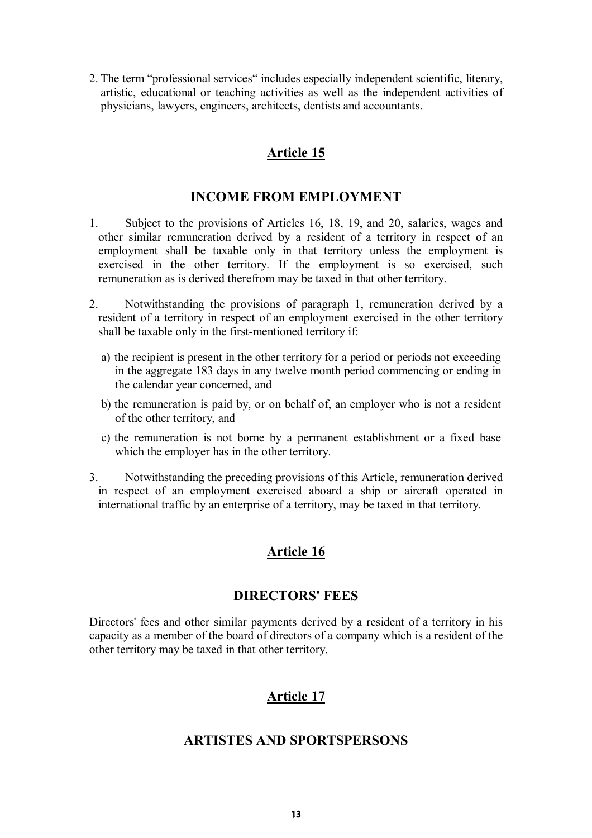2. The term "professional services" includes especially independent scientific, literary, artistic, educational or teaching activities as well as the independent activities of physicians, lawyers, engineers, architects, dentists and accountants.

# **Article 15**

### **INCOME FROM EMPLOYMENT**

- 1. Subject to the provisions of Articles 16, 18, 19, and 20, salaries, wages and other similar remuneration derived by a resident of a territory in respect of an employment shall be taxable only in that territory unless the employment is exercised in the other territory. If the employment is so exercised, such remuneration as is derived therefrom may be taxed in that other territory.
- 2. Notwithstanding the provisions of paragraph 1, remuneration derived by a resident of a territory in respect of an employment exercised in the other territory shall be taxable only in the first-mentioned territory if:
	- a) the recipient is present in the other territory for a period or periods not exceeding in the aggregate 183 days in any twelve month period commencing or ending in the calendar year concerned, and
	- b) the remuneration is paid by, or on behalf of, an employer who is not a resident of the other territory, and
	- c) the remuneration is not borne by a permanent establishment or a fixed base which the employer has in the other territory.
- 3. Notwithstanding the preceding provisions of this Article, remuneration derived in respect of an employment exercised aboard a ship or aircraft operated in international traffic by an enterprise of a territory, may be taxed in that territory.

# **Article 16**

### **DIRECTORS' FEES**

Directors' fees and other similar payments derived by a resident of a territory in his capacity as a member of the board of directors of a company which is a resident of the other territory may be taxed in that other territory.

# **Article 17**

### **ARTISTES AND SPORTSPERSONS**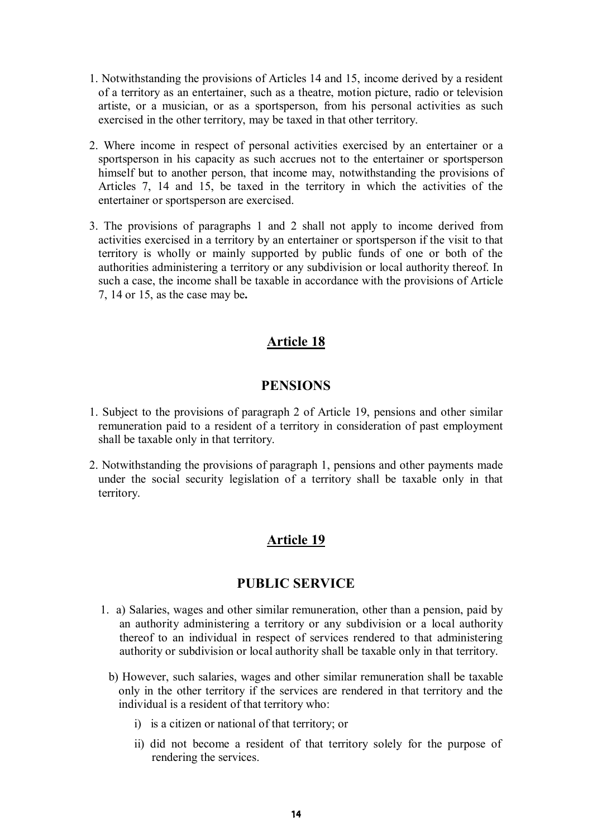- 1. Notwithstanding the provisions of Articles 14 and 15, income derived by a resident of a territory as an entertainer, such as a theatre, motion picture, radio or television artiste, or a musician, or as a sportsperson, from his personal activities as such exercised in the other territory, may be taxed in that other territory.
- 2. Where income in respect of personal activities exercised by an entertainer or a sportsperson in his capacity as such accrues not to the entertainer or sportsperson himself but to another person, that income may, notwithstanding the provisions of Articles 7, 14 and 15, be taxed in the territory in which the activities of the entertainer or sportsperson are exercised.
- 3. The provisions of paragraphs 1 and 2 shall not apply to income derived from activities exercised in a territory by an entertainer or sportsperson if the visit to that territory is wholly or mainly supported by public funds of one or both of the authorities administering a territory or any subdivision or local authority thereof. In such a case, the income shall be taxable in accordance with the provisions of Article 7, 14 or 15, as the case may be**.**

#### **PENSIONS**

- 1. Subject to the provisions of paragraph 2 of Article 19, pensions and other similar remuneration paid to a resident of a territory in consideration of past employment shall be taxable only in that territory.
- 2. Notwithstanding the provisions of paragraph 1, pensions and other payments made under the social security legislation of a territory shall be taxable only in that territory.

### **Article 19**

#### **PUBLIC SERVICE**

- 1. a) Salaries, wages and other similar remuneration, other than a pension, paid by an authority administering a territory or any subdivision or a local authority thereof to an individual in respect of services rendered to that administering authority or subdivision or local authority shall be taxable only in that territory.
	- b) However, such salaries, wages and other similar remuneration shall be taxable only in the other territory if the services are rendered in that territory and the individual is a resident of that territory who:
		- i) is a citizen or national of that territory; or
		- ii) did not become a resident of that territory solely for the purpose of rendering the services.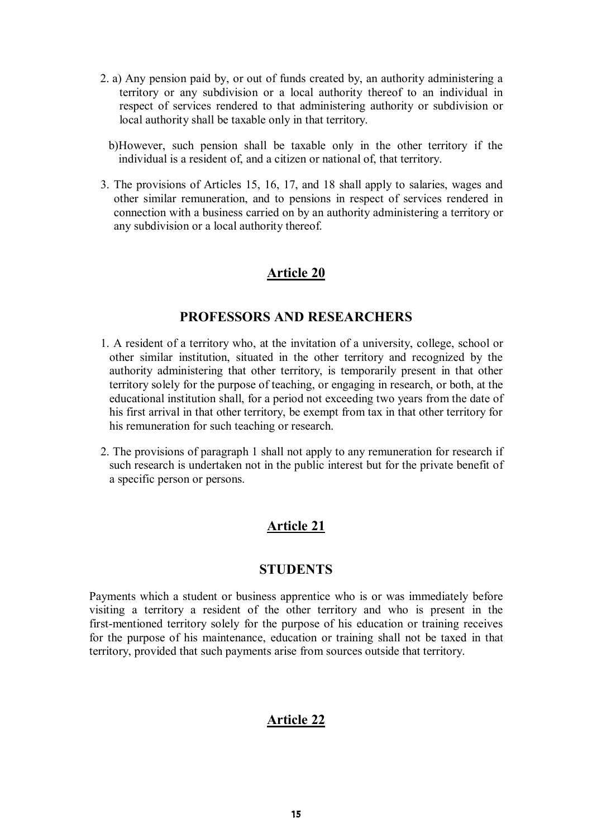- 2. a) Any pension paid by, or out of funds created by, an authority administering a territory or any subdivision or a local authority thereof to an individual in respect of services rendered to that administering authority or subdivision or local authority shall be taxable only in that territory.
	- b)However, such pension shall be taxable only in the other territory if the individual is a resident of, and a citizen or national of, that territory.
- 3. The provisions of Articles 15, 16, 17, and 18 shall apply to salaries, wages and other similar remuneration, and to pensions in respect of services rendered in connection with a business carried on by an authority administering a territory or any subdivision or a local authority thereof.

#### **PROFESSORS AND RESEARCHERS**

- 1. A resident of a territory who, at the invitation of a university, college, school or other similar institution, situated in the other territory and recognized by the authority administering that other territory, is temporarily present in that other territory solely for the purpose of teaching, or engaging in research, or both, at the educational institution shall, for a period not exceeding two years from the date of his first arrival in that other territory, be exempt from tax in that other territory for his remuneration for such teaching or research.
- 2. The provisions of paragraph 1 shall not apply to any remuneration for research if such research is undertaken not in the public interest but for the private benefit of a specific person or persons.

#### **Article 21**

#### **STUDENTS**

Payments which a student or business apprentice who is or was immediately before visiting a territory a resident of the other territory and who is present in the first-mentioned territory solely for the purpose of his education or training receives for the purpose of his maintenance, education or training shall not be taxed in that territory, provided that such payments arise from sources outside that territory.

#### **Article 22**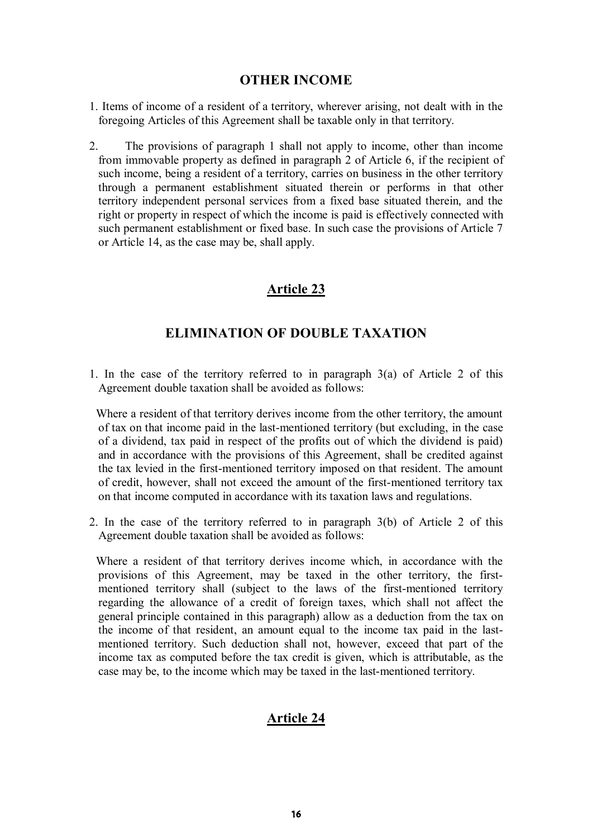#### **OTHER INCOME**

- 1. Items of income of a resident of a territory, wherever arising, not dealt with in the foregoing Articles of this Agreement shall be taxable only in that territory.
- 2. The provisions of paragraph 1 shall not apply to income, other than income from immovable property as defined in paragraph 2 of Article 6, if the recipient of such income, being a resident of a territory, carries on business in the other territory through a permanent establishment situated therein or performs in that other territory independent personal services from a fixed base situated therein, and the right or property in respect of which the income is paid is effectively connected with such permanent establishment or fixed base. In such case the provisions of Article 7 or Article 14, as the case may be, shall apply.

## **Article 23**

### **ELIMINATION OF DOUBLE TAXATION**

1. In the case of the territory referred to in paragraph 3(a) of Article 2 of this Agreement double taxation shall be avoided as follows:

Where a resident of that territory derives income from the other territory, the amount of tax on that income paid in the last-mentioned territory (but excluding, in the case of a dividend, tax paid in respect of the profits out of which the dividend is paid) and in accordance with the provisions of this Agreement, shall be credited against the tax levied in the first-mentioned territory imposed on that resident. The amount of credit, however, shall not exceed the amount of the first-mentioned territory tax on that income computed in accordance with its taxation laws and regulations.

2. In the case of the territory referred to in paragraph 3(b) of Article 2 of this Agreement double taxation shall be avoided as follows:

Where a resident of that territory derives income which, in accordance with the provisions of this Agreement, may be taxed in the other territory, the firstmentioned territory shall (subject to the laws of the first-mentioned territory regarding the allowance of a credit of foreign taxes, which shall not affect the general principle contained in this paragraph) allow as a deduction from the tax on the income of that resident, an amount equal to the income tax paid in the lastmentioned territory. Such deduction shall not, however, exceed that part of the income tax as computed before the tax credit is given, which is attributable, as the case may be, to the income which may be taxed in the last-mentioned territory.

### **Article 24**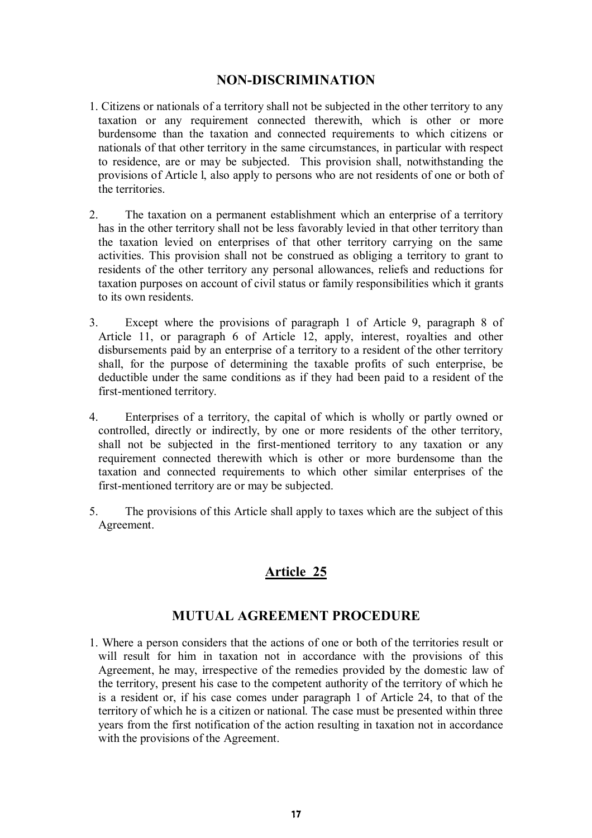### **NON-DISCRIMINATION**

- 1. Citizens or nationals of a territory shall not be subjected in the other territory to any taxation or any requirement connected therewith, which is other or more burdensome than the taxation and connected requirements to which citizens or nationals of that other territory in the same circumstances, in particular with respect to residence, are or may be subjected. This provision shall, notwithstanding the provisions of Article l, also apply to persons who are not residents of one or both of the territories.
- 2. The taxation on a permanent establishment which an enterprise of a territory has in the other territory shall not be less favorably levied in that other territory than the taxation levied on enterprises of that other territory carrying on the same activities. This provision shall not be construed as obliging a territory to grant to residents of the other territory any personal allowances, reliefs and reductions for taxation purposes on account of civil status or family responsibilities which it grants to its own residents.
- 3. Except where the provisions of paragraph 1 of Article 9, paragraph 8 of Article 11, or paragraph 6 of Article 12, apply, interest, royalties and other disbursements paid by an enterprise of a territory to a resident of the other territory shall, for the purpose of determining the taxable profits of such enterprise, be deductible under the same conditions as if they had been paid to a resident of the first-mentioned territory.
- 4. Enterprises of a territory, the capital of which is wholly or partly owned or controlled, directly or indirectly, by one or more residents of the other territory, shall not be subjected in the first-mentioned territory to any taxation or any requirement connected therewith which is other or more burdensome than the taxation and connected requirements to which other similar enterprises of the first-mentioned territory are or may be subjected.
- 5. The provisions of this Article shall apply to taxes which are the subject of this Agreement.

# **Article 25**

### **MUTUAL AGREEMENT PROCEDURE**

1. Where a person considers that the actions of one or both of the territories result or will result for him in taxation not in accordance with the provisions of this Agreement, he may, irrespective of the remedies provided by the domestic law of the territory, present his case to the competent authority of the territory of which he is a resident or, if his case comes under paragraph 1 of Article 24, to that of the territory of which he is a citizen or national. The case must be presented within three years from the first notification of the action resulting in taxation not in accordance with the provisions of the Agreement.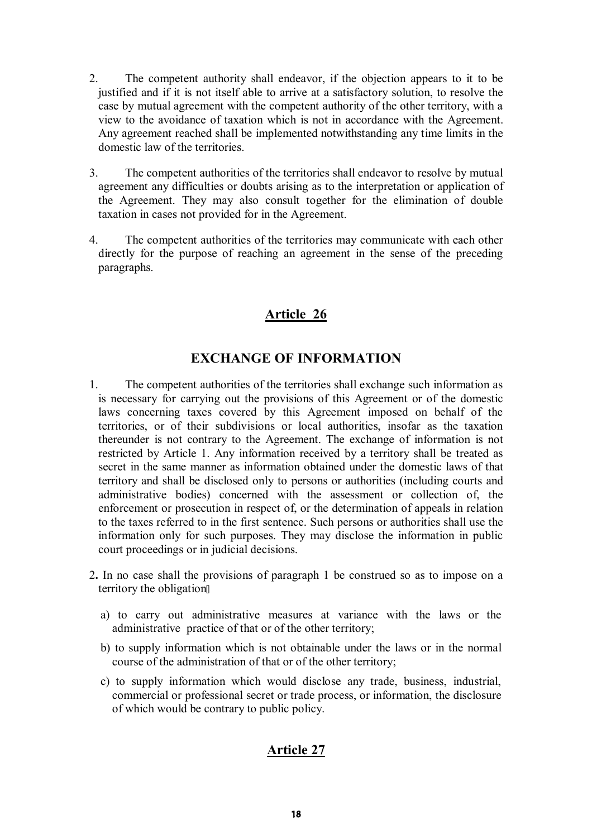- 2. The competent authority shall endeavor, if the objection appears to it to be justified and if it is not itself able to arrive at a satisfactory solution, to resolve the case by mutual agreement with the competent authority of the other territory, with a view to the avoidance of taxation which is not in accordance with the Agreement. Any agreement reached shall be implemented notwithstanding any time limits in the domestic law of the territories.
- 3. The competent authorities of the territories shall endeavor to resolve by mutual agreement any difficulties or doubts arising as to the interpretation or application of the Agreement. They may also consult together for the elimination of double taxation in cases not provided for in the Agreement.
- 4. The competent authorities of the territories may communicate with each other directly for the purpose of reaching an agreement in the sense of the preceding paragraphs.

# **EXCHANGE OF INFORMATION**

- 1. The competent authorities of the territories shall exchange such information as is necessary for carrying out the provisions of this Agreement or of the domestic laws concerning taxes covered by this Agreement imposed on behalf of the territories, or of their subdivisions or local authorities, insofar as the taxation thereunder is not contrary to the Agreement. The exchange of information is not restricted by Article 1. Any information received by a territory shall be treated as secret in the same manner as information obtained under the domestic laws of that territory and shall be disclosed only to persons or authorities (including courts and administrative bodies) concerned with the assessment or collection of, the enforcement or prosecution in respect of, or the determination of appeals in relation to the taxes referred to in the first sentence. Such persons or authorities shall use the information only for such purposes. They may disclose the information in public court proceedings or in judicial decisions.
- 2**.** In no case shall the provisions of paragraph 1 be construed so as to impose on a territory the obligation
	- a) to carry out administrative measures at variance with the laws or the administrative practice of that or of the other territory;
	- b) to supply information which is not obtainable under the laws or in the normal course of the administration of that or of the other territory;
	- c) to supply information which would disclose any trade, business, industrial, commercial or professional secret or trade process, or information, the disclosure of which would be contrary to public policy.

# **Article 27**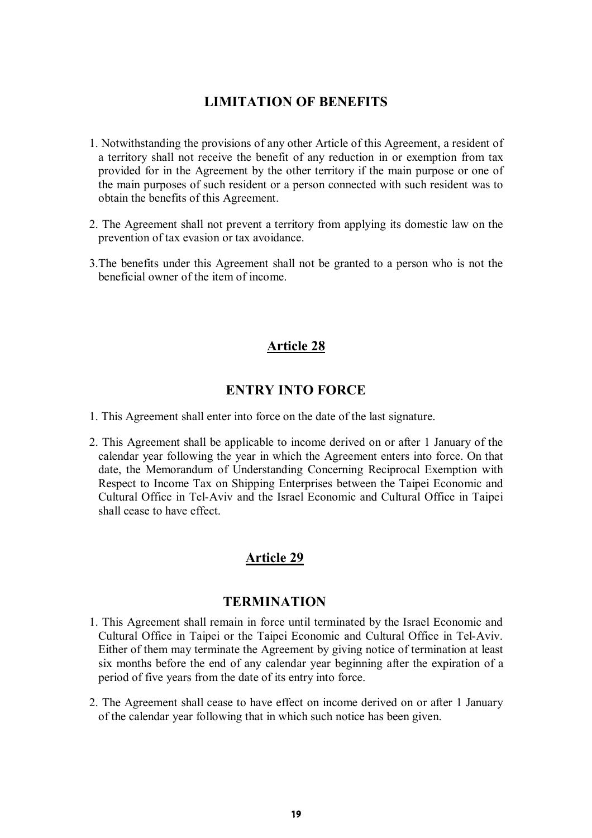# **LIMITATION OF BENEFITS**

- 1. Notwithstanding the provisions of any other Article of this Agreement, a resident of a territory shall not receive the benefit of any reduction in or exemption from tax provided for in the Agreement by the other territory if the main purpose or one of the main purposes of such resident or a person connected with such resident was to obtain the benefits of this Agreement.
- 2. The Agreement shall not prevent a territory from applying its domestic law on the prevention of tax evasion or tax avoidance.
- 3.The benefits under this Agreement shall not be granted to a person who is not the beneficial owner of the item of income.

## **Article 28**

### **ENTRY INTO FORCE**

- 1. This Agreement shall enter into force on the date of the last signature.
- 2. This Agreement shall be applicable to income derived on or after 1 January of the calendar year following the year in which the Agreement enters into force. On that date, the Memorandum of Understanding Concerning Reciprocal Exemption with Respect to Income Tax on Shipping Enterprises between the Taipei Economic and Cultural Office in Tel-Aviv and the Israel Economic and Cultural Office in Taipei shall cease to have effect.

### **Article 29**

#### **TERMINATION**

- 1. This Agreement shall remain in force until terminated by the Israel Economic and Cultural Office in Taipei or the Taipei Economic and Cultural Office in Tel-Aviv. Either of them may terminate the Agreement by giving notice of termination at least six months before the end of any calendar year beginning after the expiration of a period of five years from the date of its entry into force.
- 2. The Agreement shall cease to have effect on income derived on or after 1 January of the calendar year following that in which such notice has been given.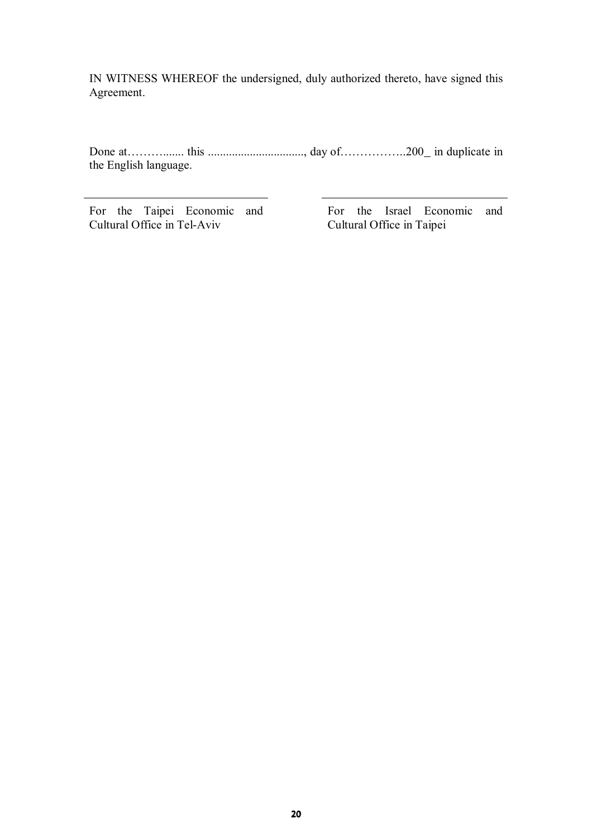IN WITNESS WHEREOF the undersigned, duly authorized thereto, have signed this Agreement.

Done at……………... this …………………………….. day of………………200\_ in duplicate in the English language.

For the Taipei Economic and Cultural Office in Tel-Aviv

For the Israel Economic and Cultural Office in Taipei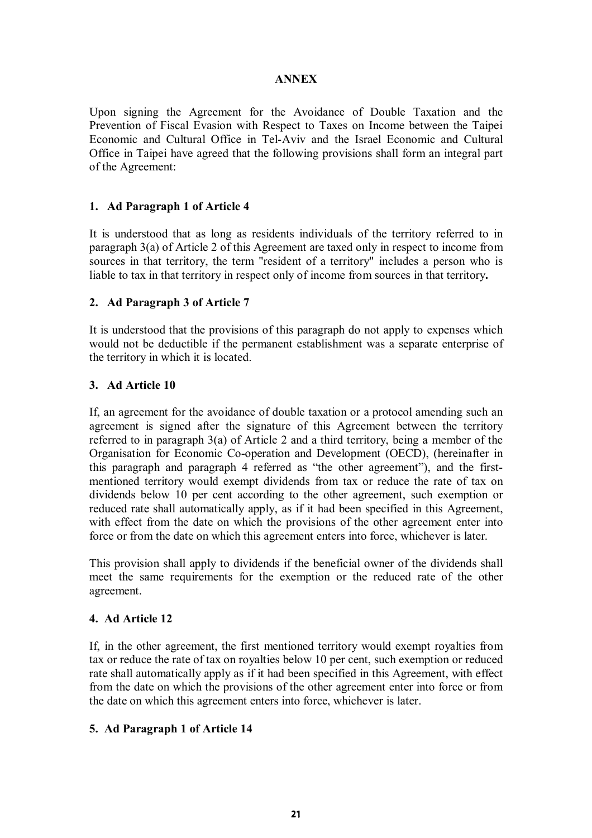#### **ANNEX**

Upon signing the Agreement for the Avoidance of Double Taxation and the Prevention of Fiscal Evasion with Respect to Taxes on Income between the Taipei Economic and Cultural Office in Tel-Aviv and the Israel Economic and Cultural Office in Taipei have agreed that the following provisions shall form an integral part of the Agreement:

#### **1. Ad Paragraph 1 of Article 4**

It is understood that as long as residents individuals of the territory referred to in paragraph 3(a) of Article 2 of this Agreement are taxed only in respect to income from sources in that territory, the term "resident of a territory" includes a person who is liable to tax in that territory in respect only of income from sources in that territory**.** 

#### **2. Ad Paragraph 3 of Article 7**

It is understood that the provisions of this paragraph do not apply to expenses which would not be deductible if the permanent establishment was a separate enterprise of the territory in which it is located.

#### **3. Ad Article 10**

If, an agreement for the avoidance of double taxation or a protocol amending such an agreement is signed after the signature of this Agreement between the territory referred to in paragraph 3(a) of Article 2 and a third territory, being a member of the Organisation for Economic Co-operation and Development (OECD), (hereinafter in this paragraph and paragraph 4 referred as "the other agreement"), and the firstmentioned territory would exempt dividends from tax or reduce the rate of tax on dividends below 10 per cent according to the other agreement, such exemption or reduced rate shall automatically apply, as if it had been specified in this Agreement, with effect from the date on which the provisions of the other agreement enter into force or from the date on which this agreement enters into force, whichever is later.

This provision shall apply to dividends if the beneficial owner of the dividends shall meet the same requirements for the exemption or the reduced rate of the other agreement.

#### **4. Ad Article 12**

If, in the other agreement, the first mentioned territory would exempt royalties from tax or reduce the rate of tax on royalties below 10 per cent, such exemption or reduced rate shall automatically apply as if it had been specified in this Agreement, with effect from the date on which the provisions of the other agreement enter into force or from the date on which this agreement enters into force, whichever is later.

#### **5. Ad Paragraph 1 of Article 14**